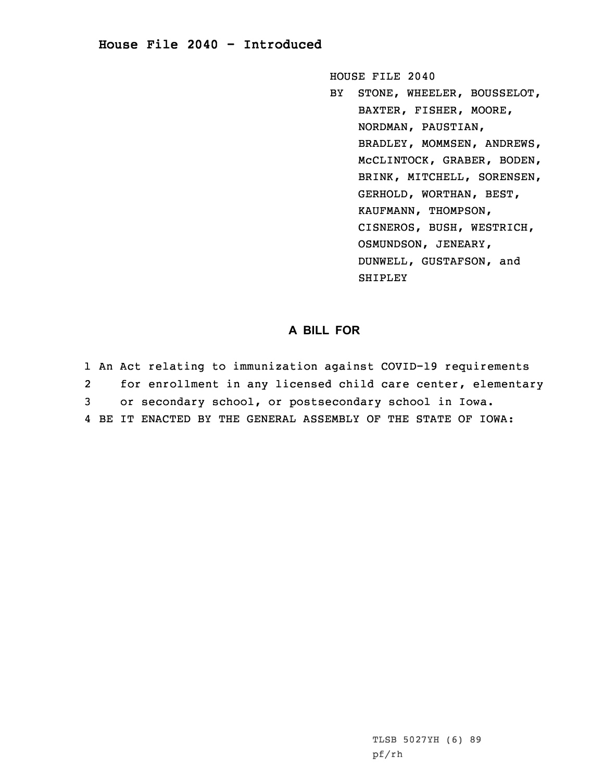## **House File 2040 - Introduced**

HOUSE FILE 2040

BY STONE, WHEELER, BOUSSELOT, BAXTER, FISHER, MOORE, NORDMAN, PAUSTIAN, BRADLEY, MOMMSEN, ANDREWS, McCLINTOCK, GRABER, BODEN, BRINK, MITCHELL, SORENSEN, GERHOLD, WORTHAN, BEST, KAUFMANN, THOMPSON, CISNEROS, BUSH, WESTRICH, OSMUNDSON, JENEARY, DUNWELL, GUSTAFSON, and SHIPLEY

## **A BILL FOR**

1 An Act relating to immunization against COVID-19 requirements 2 for enrollment in any licensed child care center, elementary 3 or secondary school, or postsecondary school in Iowa. 4 BE IT ENACTED BY THE GENERAL ASSEMBLY OF THE STATE OF IOWA: